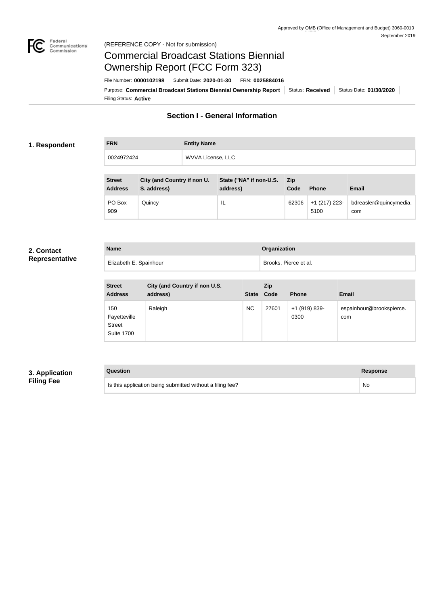

# Federal<br>Communications<br>Commission (REFERENCE COPY - Not for submission)

# Commercial Broadcast Stations Biennial Ownership Report (FCC Form 323)

Filing Status: **Active** Purpose: Commercial Broadcast Stations Biennial Ownership Report Status: Received Status Date: 01/30/2020 File Number: **0000102198** Submit Date: **2020-01-30** FRN: **0025884016**

# **Section I - General Information**

# **1. Respondent**

| WVVA License, LLC<br>0024972424 |  |
|---------------------------------|--|

| <b>Street</b><br><b>Address</b> | City (and Country if non U.<br>S. address) | State ("NA" if non-U.S.<br>address) | <b>Zip</b><br>Code | <b>Phone</b>          | <b>Email</b>                  |
|---------------------------------|--------------------------------------------|-------------------------------------|--------------------|-----------------------|-------------------------------|
| PO Box<br>909                   | Quincy                                     | IL                                  | 62306              | +1 (217) 223-<br>5100 | bdreasler@quincymedia.<br>com |

#### **2. Contact Representative**

| <b>Name</b>            | <b>Organization</b>   |
|------------------------|-----------------------|
| Elizabeth E. Spainhour | Brooks, Pierce et al. |

| <b>Street</b><br><b>Address</b>                           | City (and Country if non U.S.<br>address) | <b>State</b> | Zip<br>Code | <b>Phone</b>          | <b>Email</b>                    |
|-----------------------------------------------------------|-------------------------------------------|--------------|-------------|-----------------------|---------------------------------|
| 150<br>Fayetteville<br><b>Street</b><br><b>Suite 1700</b> | Raleigh                                   | <b>NC</b>    | 27601       | +1 (919) 839-<br>0300 | espainhour@brookspierce.<br>com |

# **3. Application Filing Fee**

## **Question Response**

Is this application being submitted without a filing fee? No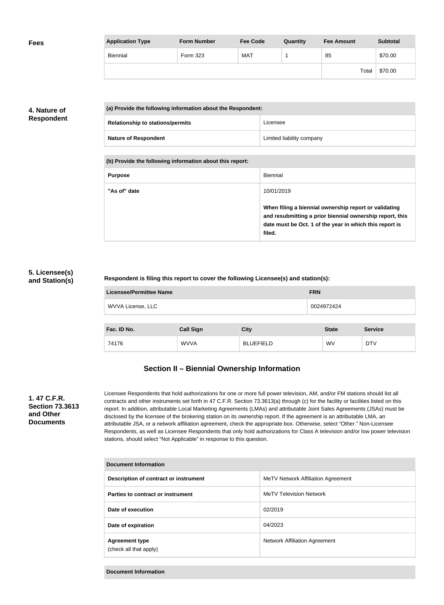| <b>Fees</b> | <b>Application Type</b> | <b>Form Number</b> | <b>Fee Code</b> | Quantity | <b>Fee Amount</b> | <b>Subtotal</b> |
|-------------|-------------------------|--------------------|-----------------|----------|-------------------|-----------------|
|             | Biennial                | Form 323           | MAT             |          | 85                | \$70.00         |
|             |                         |                    |                 |          | Total             | \$70.00         |

# **4. Nature of Respondent**

| (a) Provide the following information about the Respondent: |                           |
|-------------------------------------------------------------|---------------------------|
| <b>Relationship to stations/permits</b>                     | Licensee                  |
| <b>Nature of Respondent</b>                                 | Limited liability company |

**(b) Provide the following information about this report:**

| <b>Purpose</b> | Biennial                                                                                                                                                                               |
|----------------|----------------------------------------------------------------------------------------------------------------------------------------------------------------------------------------|
| "As of" date   | 10/01/2019                                                                                                                                                                             |
|                | When filing a biennial ownership report or validating<br>and resubmitting a prior biennial ownership report, this<br>date must be Oct. 1 of the year in which this report is<br>filed. |

# **5. Licensee(s) and Station(s)**

## **Respondent is filing this report to cover the following Licensee(s) and station(s):**

| Licensee/Permittee Name | <b>FRN</b> |
|-------------------------|------------|
| WVVA License, LLC       | 0024972424 |
|                         |            |

| Fac. ID No. | <b>Call Sign</b> | <b>City</b>      | <b>State</b> | <b>Service</b> |
|-------------|------------------|------------------|--------------|----------------|
| 74176       | WVVA             | <b>BLUEFIELD</b> | WV           | <b>DTV</b>     |

# **Section II – Biennial Ownership Information**

# **1. 47 C.F.R. Section 73.3613 and Other Documents**

Licensee Respondents that hold authorizations for one or more full power television, AM, and/or FM stations should list all contracts and other instruments set forth in 47 C.F.R. Section 73.3613(a) through (c) for the facility or facilities listed on this report. In addition, attributable Local Marketing Agreements (LMAs) and attributable Joint Sales Agreements (JSAs) must be disclosed by the licensee of the brokering station on its ownership report. If the agreement is an attributable LMA, an attributable JSA, or a network affiliation agreement, check the appropriate box. Otherwise, select "Other." Non-Licensee Respondents, as well as Licensee Respondents that only hold authorizations for Class A television and/or low power television stations, should select "Not Applicable" in response to this question.

| Document Information                            |                                    |  |  |
|-------------------------------------------------|------------------------------------|--|--|
| Description of contract or instrument           | MeTV Network Affiliation Agreement |  |  |
| Parties to contract or instrument               | <b>MeTV Television Network</b>     |  |  |
| Date of execution                               | 02/2019                            |  |  |
| Date of expiration                              | 04/2023                            |  |  |
| <b>Agreement type</b><br>(check all that apply) | Network Affiliation Agreement      |  |  |

**Document Information**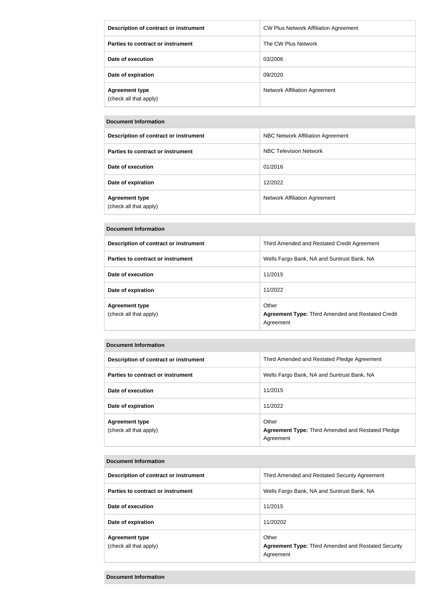| Description of contract or instrument           | CW Plus Network Affiliation Agreement |
|-------------------------------------------------|---------------------------------------|
| Parties to contract or instrument               | The CW Plus Network                   |
| Date of execution                               | 03/2006                               |
| Date of expiration                              | 09/2020                               |
| <b>Agreement type</b><br>(check all that apply) | <b>Network Affiliation Agreement</b>  |

## **Document Information**

| Description of contract or instrument           | NBC Network Affiliation Agreement |
|-------------------------------------------------|-----------------------------------|
| Parties to contract or instrument               | NBC Television Network            |
| Date of execution                               | 01/2016                           |
| Date of expiration                              | 12/2022                           |
| <b>Agreement type</b><br>(check all that apply) | Network Affiliation Agreement     |

#### **Document Information**

| Description of contract or instrument           | Third Amended and Restated Credit Agreement                                    |
|-------------------------------------------------|--------------------------------------------------------------------------------|
| Parties to contract or instrument               | Wells Fargo Bank, NA and Suntrust Bank, NA                                     |
| Date of execution                               | 11/2015                                                                        |
| Date of expiration                              | 11/2022                                                                        |
| <b>Agreement type</b><br>(check all that apply) | Other<br><b>Agreement Type: Third Amended and Restated Credit</b><br>Agreement |

## **Document Information**

| Description of contract or instrument           | Third Amended and Restated Pledge Agreement                                    |
|-------------------------------------------------|--------------------------------------------------------------------------------|
| Parties to contract or instrument               | Wells Fargo Bank, NA and Suntrust Bank, NA                                     |
| Date of execution                               | 11/2015                                                                        |
| Date of expiration                              | 11/2022                                                                        |
| <b>Agreement type</b><br>(check all that apply) | Other<br><b>Agreement Type: Third Amended and Restated Pledge</b><br>Agreement |

#### **Document Information**

| <b>POGANICIA INTOLITATION</b>                   |                                                                                  |  |
|-------------------------------------------------|----------------------------------------------------------------------------------|--|
| Description of contract or instrument           | Third Amended and Restated Security Agreement                                    |  |
| Parties to contract or instrument               | Wells Fargo Bank, NA and Suntrust Bank, NA                                       |  |
| Date of execution                               | 11/2015                                                                          |  |
| Date of expiration                              | 11/20202                                                                         |  |
| <b>Agreement type</b><br>(check all that apply) | Other<br><b>Agreement Type: Third Amended and Restated Security</b><br>Agreement |  |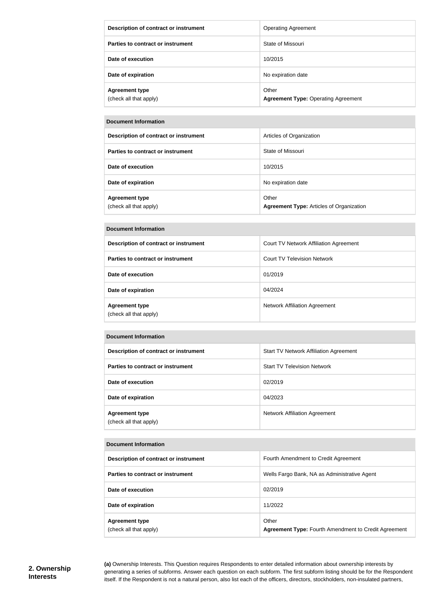| Description of contract or instrument           | <b>Operating Agreement</b>                          |
|-------------------------------------------------|-----------------------------------------------------|
| Parties to contract or instrument               | State of Missouri                                   |
| Date of execution                               | 10/2015                                             |
| Date of expiration                              | No expiration date                                  |
| <b>Agreement type</b><br>(check all that apply) | Other<br><b>Agreement Type: Operating Agreement</b> |

#### **Document Information**

| Description of contract or instrument           | Articles of Organization                                 |
|-------------------------------------------------|----------------------------------------------------------|
| Parties to contract or instrument               | State of Missouri                                        |
| Date of execution                               | 10/2015                                                  |
| Date of expiration                              | No expiration date                                       |
| <b>Agreement type</b><br>(check all that apply) | Other<br><b>Agreement Type: Articles of Organization</b> |

#### **Document Information**

| Description of contract or instrument           | Court TV Network Affiliation Agreement |
|-------------------------------------------------|----------------------------------------|
| Parties to contract or instrument               | <b>Court TV Television Network</b>     |
| Date of execution                               | 01/2019                                |
| Date of expiration                              | 04/2024                                |
| <b>Agreement type</b><br>(check all that apply) | <b>Network Affiliation Agreement</b>   |

#### **Document Information**

| Description of contract or instrument           | Start TV Network Affiliation Agreement |
|-------------------------------------------------|----------------------------------------|
| Parties to contract or instrument               | <b>Start TV Television Network</b>     |
| Date of execution                               | 02/2019                                |
| Date of expiration                              | 04/2023                                |
| <b>Agreement type</b><br>(check all that apply) | Network Affiliation Agreement          |

#### **Document Information**

| Description of contract or instrument           | Fourth Amendment to Credit Agreement                                 |
|-------------------------------------------------|----------------------------------------------------------------------|
| Parties to contract or instrument               | Wells Fargo Bank, NA as Administrative Agent                         |
| Date of execution                               | 02/2019                                                              |
| Date of expiration                              | 11/2022                                                              |
| <b>Agreement type</b><br>(check all that apply) | Other<br><b>Agreement Type: Fourth Amendment to Credit Agreement</b> |

**(a)** Ownership Interests. This Question requires Respondents to enter detailed information about ownership interests by generating a series of subforms. Answer each question on each subform. The first subform listing should be for the Respondent itself. If the Respondent is not a natural person, also list each of the officers, directors, stockholders, non-insulated partners,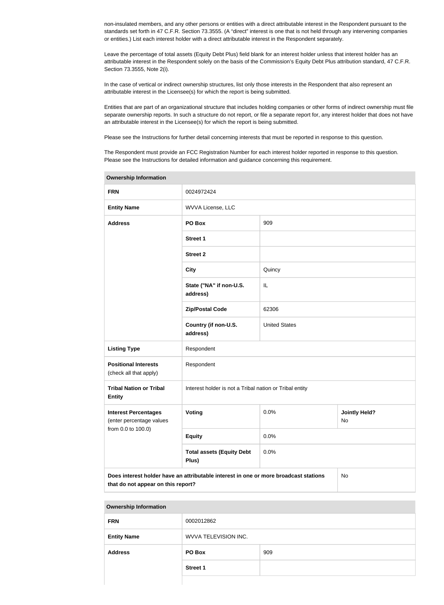non-insulated members, and any other persons or entities with a direct attributable interest in the Respondent pursuant to the standards set forth in 47 C.F.R. Section 73.3555. (A "direct" interest is one that is not held through any intervening companies or entities.) List each interest holder with a direct attributable interest in the Respondent separately.

Leave the percentage of total assets (Equity Debt Plus) field blank for an interest holder unless that interest holder has an attributable interest in the Respondent solely on the basis of the Commission's Equity Debt Plus attribution standard, 47 C.F.R. Section 73.3555, Note 2(i).

In the case of vertical or indirect ownership structures, list only those interests in the Respondent that also represent an attributable interest in the Licensee(s) for which the report is being submitted.

Entities that are part of an organizational structure that includes holding companies or other forms of indirect ownership must file separate ownership reports. In such a structure do not report, or file a separate report for, any interest holder that does not have an attributable interest in the Licensee(s) for which the report is being submitted.

Please see the Instructions for further detail concerning interests that must be reported in response to this question.

The Respondent must provide an FCC Registration Number for each interest holder reported in response to this question. Please see the Instructions for detailed information and guidance concerning this requirement.

| <b>Ownership Information</b>                                                                                                     |                                                         |                      |                            |
|----------------------------------------------------------------------------------------------------------------------------------|---------------------------------------------------------|----------------------|----------------------------|
| <b>FRN</b>                                                                                                                       | 0024972424                                              |                      |                            |
| <b>Entity Name</b>                                                                                                               | WVVA License, LLC                                       |                      |                            |
| <b>Address</b>                                                                                                                   | PO Box                                                  | 909                  |                            |
|                                                                                                                                  | <b>Street 1</b>                                         |                      |                            |
|                                                                                                                                  | <b>Street 2</b>                                         |                      |                            |
|                                                                                                                                  | <b>City</b>                                             | Quincy               |                            |
|                                                                                                                                  | State ("NA" if non-U.S.<br>address)                     | IL                   |                            |
|                                                                                                                                  | <b>Zip/Postal Code</b>                                  | 62306                |                            |
|                                                                                                                                  | Country (if non-U.S.<br>address)                        | <b>United States</b> |                            |
| <b>Listing Type</b>                                                                                                              | Respondent                                              |                      |                            |
| <b>Positional Interests</b><br>(check all that apply)                                                                            | Respondent                                              |                      |                            |
| <b>Tribal Nation or Tribal</b><br><b>Entity</b>                                                                                  | Interest holder is not a Tribal nation or Tribal entity |                      |                            |
| <b>Interest Percentages</b><br>(enter percentage values<br>from 0.0 to 100.0)                                                    | Voting                                                  | 0.0%                 | <b>Jointly Held?</b><br>No |
|                                                                                                                                  | <b>Equity</b>                                           | 0.0%                 |                            |
|                                                                                                                                  | <b>Total assets (Equity Debt</b><br>Plus)               | 0.0%                 |                            |
| Does interest holder have an attributable interest in one or more broadcast stations<br>No<br>that do not appear on this report? |                                                         |                      |                            |

| <b>Ownership Information</b> |
|------------------------------|
|                              |

| <b>FRN</b>         | 0002012862                  |     |
|--------------------|-----------------------------|-----|
| <b>Entity Name</b> | <b>WVVA TELEVISION INC.</b> |     |
| <b>Address</b>     | PO Box                      | 909 |
|                    | <b>Street 1</b>             |     |
|                    |                             |     |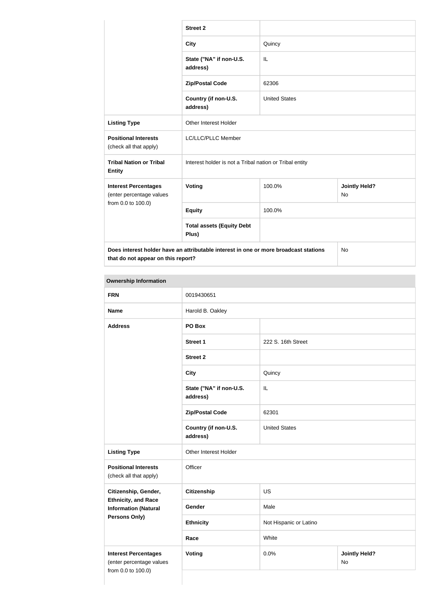|                                                                                                                            | <b>Street 2</b>                                         |                      |                                   |
|----------------------------------------------------------------------------------------------------------------------------|---------------------------------------------------------|----------------------|-----------------------------------|
|                                                                                                                            | <b>City</b>                                             | Quincy               |                                   |
|                                                                                                                            | State ("NA" if non-U.S.<br>address)                     | IL                   |                                   |
|                                                                                                                            | <b>Zip/Postal Code</b>                                  | 62306                |                                   |
|                                                                                                                            | Country (if non-U.S.<br>address)                        | <b>United States</b> |                                   |
| <b>Listing Type</b>                                                                                                        | Other Interest Holder                                   |                      |                                   |
| <b>Positional Interests</b><br>(check all that apply)                                                                      | LC/LLC/PLLC Member                                      |                      |                                   |
| <b>Tribal Nation or Tribal</b><br><b>Entity</b>                                                                            | Interest holder is not a Tribal nation or Tribal entity |                      |                                   |
| <b>Interest Percentages</b><br>(enter percentage values                                                                    | Voting                                                  | 100.0%               | <b>Jointly Held?</b><br><b>No</b> |
| from 0.0 to 100.0)                                                                                                         | <b>Equity</b>                                           | 100.0%               |                                   |
|                                                                                                                            | <b>Total assets (Equity Debt</b><br>Plus)               |                      |                                   |
| Does interest holder have an attributable interest in one or more broadcast stations<br>that do not appear on this report? |                                                         |                      | <b>No</b>                         |

# **Ownership Information**

| <b>FRN</b>                                                | 0019430651                          |                        |                            |
|-----------------------------------------------------------|-------------------------------------|------------------------|----------------------------|
| <b>Name</b>                                               | Harold B. Oakley                    |                        |                            |
| <b>Address</b>                                            | PO Box                              |                        |                            |
|                                                           | <b>Street 1</b>                     | 222 S. 16th Street     |                            |
|                                                           | <b>Street 2</b>                     |                        |                            |
|                                                           | <b>City</b>                         | Quincy                 |                            |
|                                                           | State ("NA" if non-U.S.<br>address) | IL                     |                            |
|                                                           | <b>Zip/Postal Code</b>              | 62301                  |                            |
|                                                           | Country (if non-U.S.<br>address)    | <b>United States</b>   |                            |
| <b>Listing Type</b>                                       | Other Interest Holder               |                        |                            |
| <b>Positional Interests</b><br>(check all that apply)     | Officer                             |                        |                            |
| Citizenship, Gender,                                      | <b>Citizenship</b>                  | <b>US</b>              |                            |
| <b>Ethnicity, and Race</b><br><b>Information (Natural</b> | Gender                              | Male                   |                            |
| <b>Persons Only)</b>                                      | <b>Ethnicity</b>                    | Not Hispanic or Latino |                            |
|                                                           | Race                                | White                  |                            |
| <b>Interest Percentages</b><br>(enter percentage values   | <b>Voting</b>                       | 0.0%                   | <b>Jointly Held?</b><br>No |
| from 0.0 to 100.0)                                        |                                     |                        |                            |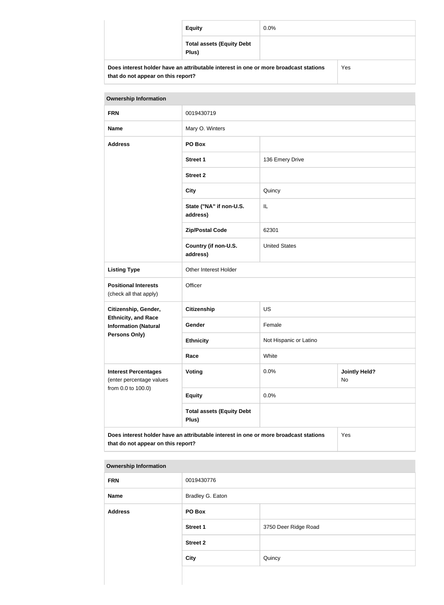| <b>Equity</b>                                                                        | $0.0\%$ |     |
|--------------------------------------------------------------------------------------|---------|-----|
| <b>Total assets (Equity Debt</b><br>Plus)                                            |         |     |
| Does interest holder have an attributable interest in one or more broadcast stations |         | Yes |

| <b>Ownership Information</b>                                                                                                      |                                           |                        |                            |
|-----------------------------------------------------------------------------------------------------------------------------------|-------------------------------------------|------------------------|----------------------------|
| <b>FRN</b>                                                                                                                        | 0019430719                                |                        |                            |
| <b>Name</b>                                                                                                                       | Mary O. Winters                           |                        |                            |
| <b>Address</b>                                                                                                                    | PO Box                                    |                        |                            |
|                                                                                                                                   | <b>Street 1</b>                           | 136 Emery Drive        |                            |
|                                                                                                                                   | <b>Street 2</b>                           |                        |                            |
|                                                                                                                                   | <b>City</b>                               | Quincy                 |                            |
|                                                                                                                                   | State ("NA" if non-U.S.<br>address)       | IL                     |                            |
|                                                                                                                                   | <b>Zip/Postal Code</b>                    | 62301                  |                            |
|                                                                                                                                   | Country (if non-U.S.<br>address)          | <b>United States</b>   |                            |
| <b>Listing Type</b>                                                                                                               | Other Interest Holder                     |                        |                            |
| <b>Positional Interests</b><br>(check all that apply)                                                                             | Officer                                   |                        |                            |
| Citizenship, Gender,                                                                                                              | <b>Citizenship</b>                        | <b>US</b>              |                            |
| <b>Ethnicity, and Race</b><br><b>Information (Natural</b>                                                                         | Gender                                    | Female                 |                            |
| <b>Persons Only)</b>                                                                                                              | <b>Ethnicity</b>                          | Not Hispanic or Latino |                            |
|                                                                                                                                   | Race                                      | White                  |                            |
| <b>Interest Percentages</b><br>(enter percentage values<br>from 0.0 to 100.0)                                                     | <b>Voting</b>                             | 0.0%                   | <b>Jointly Held?</b><br>No |
|                                                                                                                                   | <b>Equity</b>                             | 0.0%                   |                            |
|                                                                                                                                   | <b>Total assets (Equity Debt</b><br>Plus) |                        |                            |
| Does interest holder have an attributable interest in one or more broadcast stations<br>Yes<br>that do not appear on this report? |                                           |                        |                            |

#### **Ownership Information**

**that do not appear on this report?**

| <b>FRN</b>     | 0019430776       |                      |  |
|----------------|------------------|----------------------|--|
| Name           | Bradley G. Eaton |                      |  |
| <b>Address</b> | PO Box           |                      |  |
|                | <b>Street 1</b>  | 3750 Deer Ridge Road |  |
|                | <b>Street 2</b>  |                      |  |
|                | City             | Quincy               |  |
|                |                  |                      |  |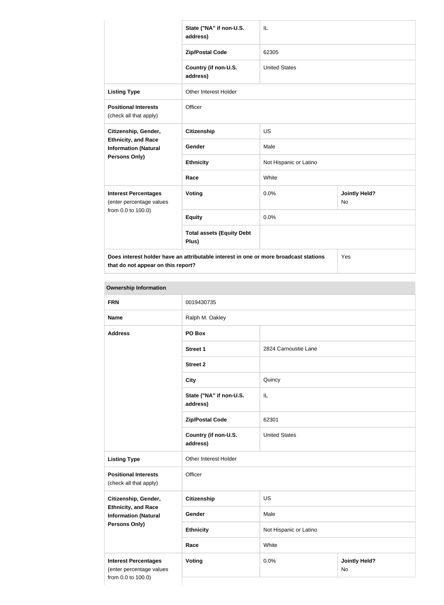|                                                                                   | State ("NA" if non-U.S.<br>address)                                                  | IL                     |                            |
|-----------------------------------------------------------------------------------|--------------------------------------------------------------------------------------|------------------------|----------------------------|
|                                                                                   | <b>Zip/Postal Code</b>                                                               | 62305                  |                            |
|                                                                                   | Country (if non-U.S.<br>address)                                                     | <b>United States</b>   |                            |
| <b>Listing Type</b>                                                               | <b>Other Interest Holder</b>                                                         |                        |                            |
| <b>Positional Interests</b><br>(check all that apply)                             | Officer                                                                              |                        |                            |
| Citizenship, Gender,<br><b>Ethnicity, and Race</b><br><b>Information (Natural</b> | <b>Citizenship</b>                                                                   | US                     |                            |
|                                                                                   | Gender                                                                               | Male                   |                            |
| Persons Only)                                                                     | <b>Ethnicity</b>                                                                     | Not Hispanic or Latino |                            |
|                                                                                   | Race                                                                                 | White                  |                            |
| <b>Interest Percentages</b><br>(enter percentage values<br>from 0.0 to 100.0)     | <b>Voting</b>                                                                        | 0.0%                   | <b>Jointly Held?</b><br>No |
|                                                                                   | <b>Equity</b>                                                                        | 0.0%                   |                            |
|                                                                                   | <b>Total assets (Equity Debt</b><br>Plus)                                            |                        |                            |
|                                                                                   | Does interest holder have an attributable interest in one or more broadcast stations |                        | Yes                        |

**that do not appear on this report?**

| <b>Ownership Information</b>                                                  |                                     |                                    |  |
|-------------------------------------------------------------------------------|-------------------------------------|------------------------------------|--|
| <b>FRN</b>                                                                    | 0019430735                          |                                    |  |
| <b>Name</b>                                                                   | Ralph M. Oakley                     |                                    |  |
| <b>Address</b>                                                                | PO Box                              |                                    |  |
|                                                                               | <b>Street 1</b>                     | 2824 Carnoustie Lane               |  |
|                                                                               | <b>Street 2</b>                     |                                    |  |
|                                                                               | <b>City</b>                         | Quincy                             |  |
|                                                                               | State ("NA" if non-U.S.<br>address) | IL                                 |  |
|                                                                               | <b>Zip/Postal Code</b>              | 62301                              |  |
|                                                                               | Country (if non-U.S.<br>address)    | <b>United States</b>               |  |
| <b>Listing Type</b>                                                           | Other Interest Holder               |                                    |  |
| <b>Positional Interests</b><br>(check all that apply)                         | Officer                             |                                    |  |
| Citizenship, Gender,                                                          | <b>Citizenship</b>                  | US                                 |  |
| <b>Ethnicity, and Race</b><br><b>Information (Natural</b>                     | Gender                              | Male                               |  |
| <b>Persons Only)</b>                                                          | <b>Ethnicity</b>                    | Not Hispanic or Latino             |  |
|                                                                               | Race<br>White                       |                                    |  |
| <b>Interest Percentages</b><br>(enter percentage values<br>from 0.0 to 100.0) | Voting                              | 0.0%<br><b>Jointly Held?</b><br>No |  |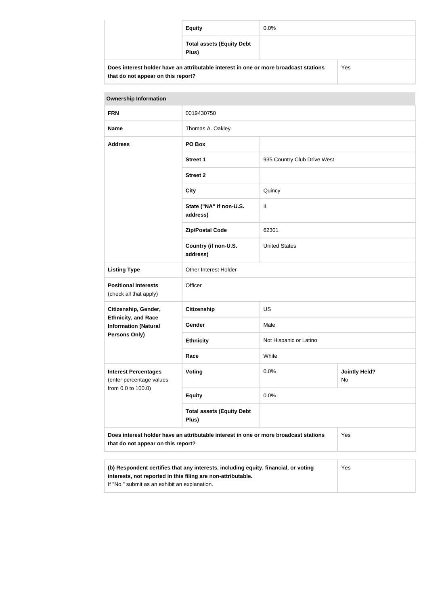| <b>Equity</b>                                                                        | $0.0\%$ |     |
|--------------------------------------------------------------------------------------|---------|-----|
| <b>Total assets (Equity Debt</b><br>Plus)                                            |         |     |
| Does interest holder have an attributable interest in one or more broadcast stations |         | Yes |

| <b>Ownership Information</b>                                                                                                                        |                                     |                             |                            |
|-----------------------------------------------------------------------------------------------------------------------------------------------------|-------------------------------------|-----------------------------|----------------------------|
| <b>FRN</b>                                                                                                                                          | 0019430750                          |                             |                            |
| <b>Name</b>                                                                                                                                         | Thomas A. Oakley                    |                             |                            |
| <b>Address</b>                                                                                                                                      | PO Box                              |                             |                            |
|                                                                                                                                                     | <b>Street 1</b>                     | 935 Country Club Drive West |                            |
|                                                                                                                                                     | <b>Street 2</b>                     |                             |                            |
|                                                                                                                                                     | <b>City</b>                         | Quincy                      |                            |
|                                                                                                                                                     | State ("NA" if non-U.S.<br>address) | IL                          |                            |
|                                                                                                                                                     | <b>Zip/Postal Code</b>              | 62301                       |                            |
|                                                                                                                                                     | Country (if non-U.S.<br>address)    | <b>United States</b>        |                            |
| <b>Listing Type</b>                                                                                                                                 | Other Interest Holder               |                             |                            |
| <b>Positional Interests</b><br>(check all that apply)                                                                                               | Officer                             |                             |                            |
| Citizenship, Gender,                                                                                                                                | <b>Citizenship</b>                  | <b>US</b>                   |                            |
| <b>Ethnicity, and Race</b><br><b>Information (Natural</b>                                                                                           | <b>Gender</b>                       | Male                        |                            |
| Persons Only)                                                                                                                                       | <b>Ethnicity</b>                    | Not Hispanic or Latino      |                            |
|                                                                                                                                                     | Race                                | White                       |                            |
| <b>Interest Percentages</b><br>(enter percentage values                                                                                             | <b>Voting</b>                       | 0.0%                        | <b>Jointly Held?</b><br>No |
| from 0.0 to 100.0)                                                                                                                                  | <b>Equity</b>                       | 0.0%                        |                            |
| <b>Total assets (Equity Debt</b><br>Plus)                                                                                                           |                                     |                             |                            |
| Does interest holder have an attributable interest in one or more broadcast stations<br>that do not appear on this report?                          |                                     | Yes                         |                            |
|                                                                                                                                                     |                                     |                             |                            |
| (b) Respondent certifies that any interests, including equity, financial, or voting<br>interests, not reported in this filing are non-attributable. |                                     |                             | Yes                        |

If "No," submit as an exhibit an explanation.

**that do not appear on this report?**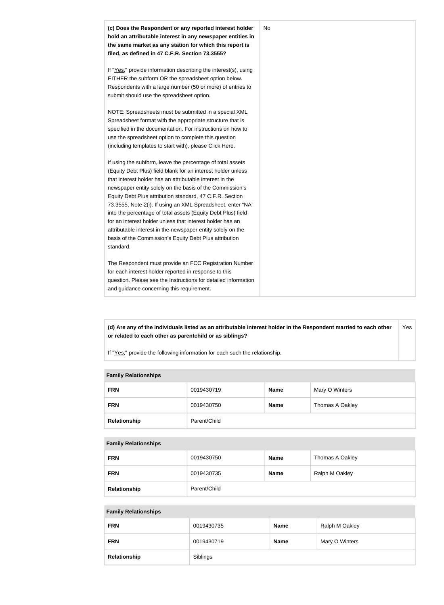

**(d) Are any of the individuals listed as an attributable interest holder in the Respondent married to each other or related to each other as parentchild or as siblings?** Yes

If "Yes," provide the following information for each such the relationship.

#### **Family Relationships**

| <b>FRN</b>   | 0019430719   | <b>Name</b> | Mary O Winters  |
|--------------|--------------|-------------|-----------------|
| <b>FRN</b>   | 0019430750   | <b>Name</b> | Thomas A Oakley |
| Relationship | Parent/Child |             |                 |

#### **Family Relationships**

| <b>FRN</b>   | 0019430750   | <b>Name</b> | Thomas A Oakley |
|--------------|--------------|-------------|-----------------|
| <b>FRN</b>   | 0019430735   | <b>Name</b> | Ralph M Oakley  |
| Relationship | Parent/Child |             |                 |

#### **Family Relationships**

| <b>FRN</b>   | 0019430735 | <b>Name</b> | Ralph M Oakley |
|--------------|------------|-------------|----------------|
| <b>FRN</b>   | 0019430719 | <b>Name</b> | Mary O Winters |
| Relationship | Siblings   |             |                |